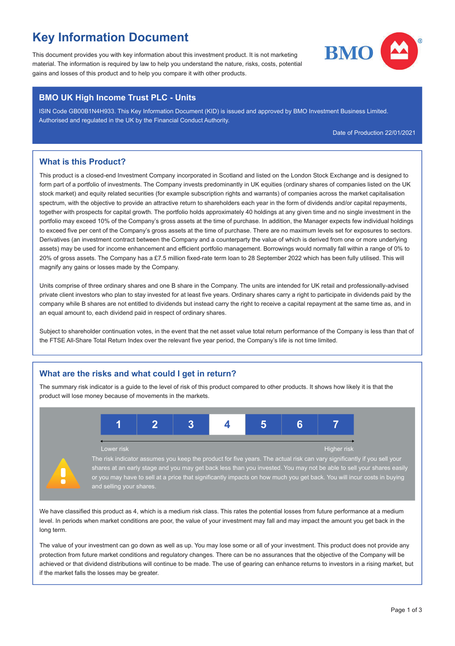# Key Information Document

This document provides you with key information about this investment product. It is not marketing material. The information is required by law to help you understand the nature, risks, costs, potential gains and losses of this product and to help you compare it with other products.



#### BMO UK High Income Trust PLC - Units

ISIN Code GB00B1N4H933. This Key Information Document (KID) is issued and approved by BMO Investment Business Limited. Authorised and regulated in the UK by the Financial Conduct Authority.

Date of Production 22/01/2021

### What is this Product?

This product is a closed-end Investment Company incorporated in Scotland and listed on the London Stock Exchange and is designed to form part of a portfolio of investments. The Company invests predominantly in UK equities (ordinary shares of companies listed on the UK stock market) and equity related securities (for example subscription rights and warrants) of companies across the market capitalisation spectrum, with the objective to provide an attractive return to shareholders each year in the form of dividends and/or capital repayments. together with prospects for capital growth. The portfolio holds approximately 40 holdings at any given time and no single investment in the portfolio may exceed 10% of the Company's gross assets at the time of purchase. In addition, the Manager expects few individual holdings to exceed five per cent of the Company's gross assets at the time of purchase. There are no maximum levels set for exposures to sectors. Derivatives (an investment contract between the Company and a counterparty the value of which is derived from one or more underlying assets) may be used for income enhancement and efficient portfolio management. Borrowings would normally fall within a range of 0% to 20% of gross assets. The Company has a £7.5 million fixed-rate term loan to 28 September 2022 which has been fully utilised. This will magnify any gains or losses made by the Company.

Units comprise of three ordinary shares and one B share in the Company. The units are intended for UK retail and professionally-advised private client investors who plan to stay invested for at least five years. Ordinary shares carry a right to participate in dividends paid by the company while B shares are not entitled to dividends but instead carry the right to receive a capital repayment at the same time as, and in an equal amount to, each dividend paid in respect of ordinary shares.

Subject to shareholder continuation votes, in the event that the net asset value total return performance of the Company is less than that of the FTSE All-Share Total Return Index over the relevant five year period, the Company's life is not time limited.

### What are the risks and what could I get in return?

The summary risk indicator is a guide to the level of risk of this product compared to other products. It shows how likely it is that the product will lose money because of movements in the markets.



We have classified this product as 4, which is a medium risk class. This rates the potential losses from future performance at a medium level. In periods when market conditions are poor, the value of your investment may fall and may impact the amount you get back in the long term.

The value of your investment can go down as well as up. You may lose some or all of your investment. This product does not provide any protection from future market conditions and regulatory changes. There can be no assurances that the objective of the Company will be achieved or that dividend distributions will continue to be made. The use of gearing can enhance returns to investors in a rising market, but if the market falls the losses may be greater.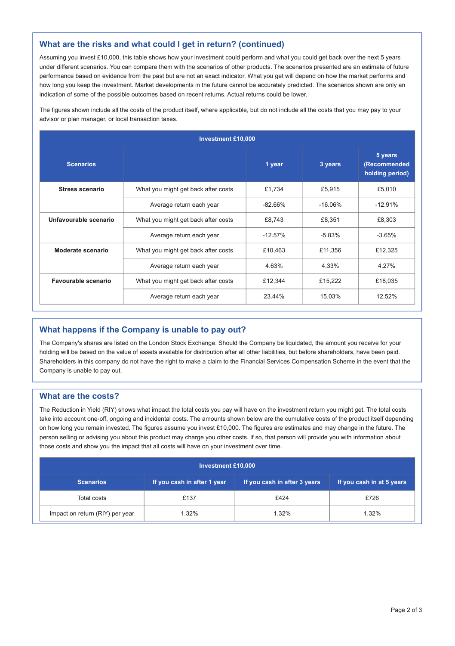#### What are the risks and what could I get in return? (continued)

Assuming you invest £10,000, this table shows how your investment could perform and what you could get back over the next 5 years under different scenarios. You can compare them with the scenarios of other products. The scenarios presented are an estimate of future performance based on evidence from the past but are not an exact indicator. What you get will depend on how the market performs and how long you keep the investment. Market developments in the future cannot be accurately predicted. The scenarios shown are only an indication of some of the possible outcomes based on recent returns. Actual returns could be lower.

The figures shown include all the costs of the product itself, where applicable, but do not include all the costs that you may pay to your advisor or plan manager, or local transaction taxes.

| <b>Investment £10,000</b> |                                                |           |           |                                            |  |  |
|---------------------------|------------------------------------------------|-----------|-----------|--------------------------------------------|--|--|
| <b>Scenarios</b>          |                                                | 1 year    | 3 years   | 5 years<br>(Recommended<br>holding period) |  |  |
| Stress scenario           | What you might get back after costs            | £1.734    | £5.915    | £5.010                                     |  |  |
|                           | Average return each year                       | $-82.66%$ | $-16.06%$ | $-12.91%$                                  |  |  |
| Unfavourable scenario     | What you might get back after costs            | £8.743    | £8.351    | £8,303                                     |  |  |
|                           | Average return each year                       | $-12.57%$ | $-5.83%$  | $-3.65%$                                   |  |  |
| Moderate scenario         | What you might get back after costs            | £10,463   | £11.356   | £12.325                                    |  |  |
|                           | Average return each year                       | 4.63%     | 4.33%     | 4.27%                                      |  |  |
| Favourable scenario       | What you might get back after costs<br>£12.344 |           | £15,222   | £18,035                                    |  |  |
|                           | Average return each year                       | 23.44%    | 15.03%    | 12.52%                                     |  |  |

### What happens if the Company is unable to pay out?

The Company's shares are listed on the London Stock Exchange. Should the Company be liquidated, the amount you receive for your holding will be based on the value of assets available for distribution after all other liabilities, but before shareholders, have been paid. Shareholders in this company do not have the right to make a claim to the Financial Services Compensation Scheme in the event that the Company is unable to pay out.

#### What are the costs?

The Reduction in Yield (RIY) shows what impact the total costs you pay will have on the investment return you might get. The total costs take into account one-off, ongoing and incidental costs. The amounts shown below are the cumulative costs of the product itself depending on how long you remain invested. The figures assume you invest £10,000. The figures are estimates and may change in the future. The person selling or advising you about this product may charge you other costs. If so, that person will provide you with information about those costs and show you the impact that all costs will have on your investment over time.

| <b>Investment £10,000</b>       |                             |                              |                           |  |  |  |
|---------------------------------|-----------------------------|------------------------------|---------------------------|--|--|--|
| <b>Scenarios</b>                | If you cash in after 1 year | If you cash in after 3 years | If you cash in at 5 years |  |  |  |
| Total costs                     | £137                        | £424                         | £726                      |  |  |  |
| Impact on return (RIY) per year | 1.32%                       | 1.32%                        | 1.32%                     |  |  |  |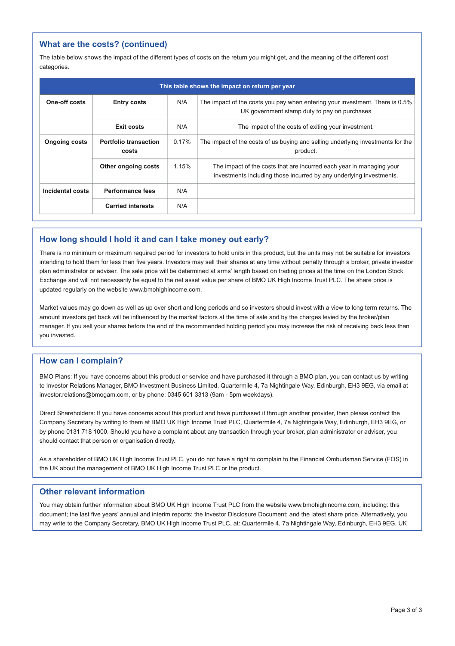### What are the costs? (continued)

The table below shows the impact of the different types of costs on the return you might get, and the meaning of the different cost categories.

| This table shows the impact on return per year |                                       |       |                                                                                                                                             |  |  |
|------------------------------------------------|---------------------------------------|-------|---------------------------------------------------------------------------------------------------------------------------------------------|--|--|
| One-off costs                                  | <b>Entry costs</b>                    | N/A   | The impact of the costs you pay when entering your investment. There is 0.5%<br>UK government stamp duty to pay on purchases                |  |  |
|                                                | Exit costs                            | N/A   | The impact of the costs of exiting your investment.                                                                                         |  |  |
| <b>Ongoing costs</b>                           | <b>Portfolio transaction</b><br>costs | 0.17% | The impact of the costs of us buying and selling underlying investments for the<br>product.                                                 |  |  |
|                                                | Other ongoing costs                   | 1.15% | The impact of the costs that are incurred each year in managing your<br>investments including those incurred by any underlying investments. |  |  |
| Incidental costs                               | Performance fees                      | N/A   |                                                                                                                                             |  |  |
|                                                | <b>Carried interests</b>              | N/A   |                                                                                                                                             |  |  |

#### How long should I hold it and can I take money out early?

There is no minimum or maximum required period for investors to hold units in this product, but the units may not be suitable for investors intending to hold them for less than five years. Investors may sell their shares at any time without penalty through a broker, private investor plan administrator or adviser. The sale price will be determined at arms' length based on trading prices at the time on the London Stock Exchange and will not necessarily be equal to the net asset value per share of BMO UK High Income Trust PLC. The share price is updated regularly on the website www.bmohighincome.com.

Market values may go down as well as up over short and long periods and so investors should invest with a view to long term returns. The amount investors get back will be influenced by the market factors at the time of sale and by the charges levied by the broker/plan manager. If you sell your shares before the end of the recommended holding period you may increase the risk of receiving back less than you invested.

#### How can I complain?

BMO Plans: If you have concerns about this product or service and have purchased it through a BMO plan, you can contact us by writing to Investor Relations Manager, BMO Investment Business Limited, Quartermile 4, 7a Nightingale Way, Edinburgh, EH3 9EG, via email at investor.relations@bmogam.com, or by phone: 0345 601 3313 (9am - 5pm weekdays).

Direct Shareholders: If you have concerns about this product and have purchased it through another provider, then please contact the Company Secretary by writing to them at BMO UK High Income Trust PLC, Quartermile 4, 7a Nightingale Way, Edinburgh, EH3 9EG, or by phone 0131 718 1000. Should you have a complaint about any transaction through your broker, plan administrator or adviser, you should contact that person or organisation directly.

As a shareholder of BMO UK High Income Trust PLC, you do not have a right to complain to the Financial Ombudsman Service (FOS) in the UK about the management of BMO UK High Income Trust PLC or the product.

#### Other relevant information

You may obtain further information about BMO UK High Income Trust PLC from the website www.bmohighincome.com, including: this document; the last five years' annual and interim reports; the Investor Disclosure Document; and the latest share price. Alternatively, you may write to the Company Secretary, BMO UK High Income Trust PLC, at: Quartermile 4, 7a Nightingale Way, Edinburgh, EH3 9EG, UK